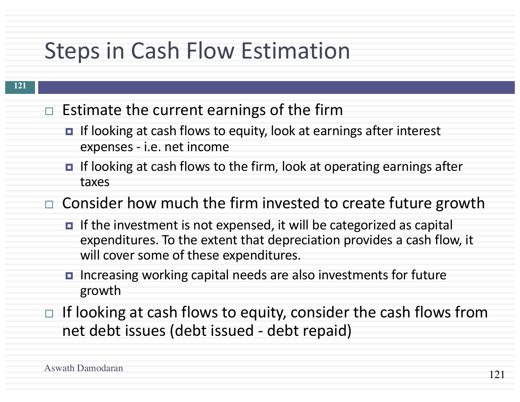## Steps in Cash Flow Estimation

- $\Box$  Estimate the current earnings of the firm
	- If looking at cash flows to equity, look at earnings after interest expenses - i.e. net income
	- If looking at cash flows to the firm, look at operating earnings after taxes
- $\Box$  Consider how much the firm invested to create future growth
	- If the investment is not expensed, it will be categorized as capital expenditures. To the extent that depreciation provides a cash flow, it will cover some of these expenditures.
	- ¤ Increasing working capital needs are also investments for future growth
- $\Box$  If looking at cash flows to equity, consider the cash flows from net debt issues (debt issued - debt repaid)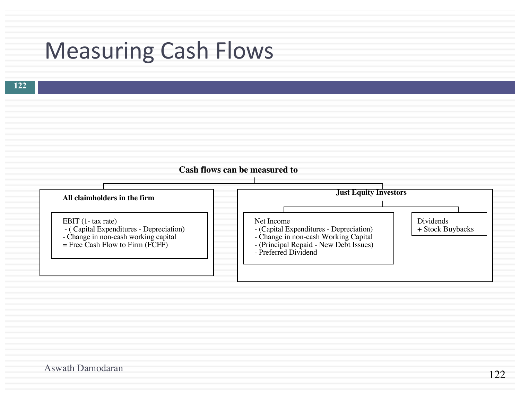## Measuring Cash Flows



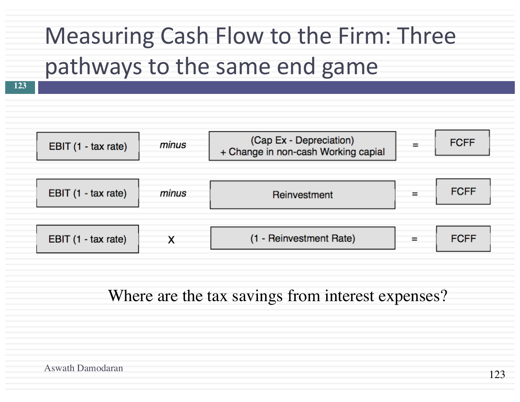# Measuring Cash Flow to the Firm: Three pathways to the same end game

**123**



Where are the tax savings from interest expenses?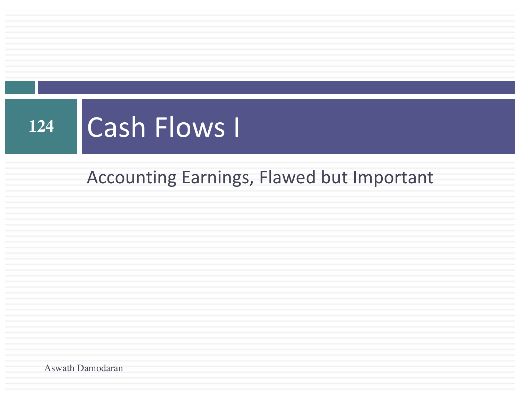### **Cash Flows I** 124

### Accounting Earnings, Flawed but Important

Aswath Damodaran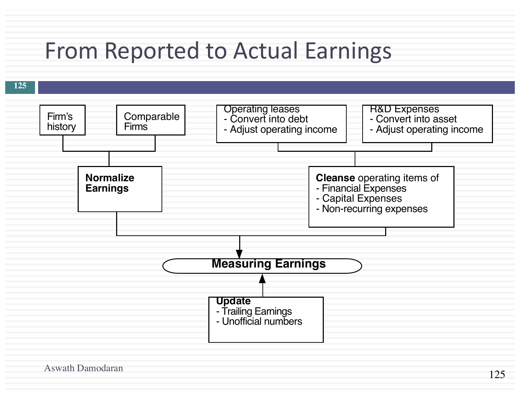## From Reported to Actual Earnings

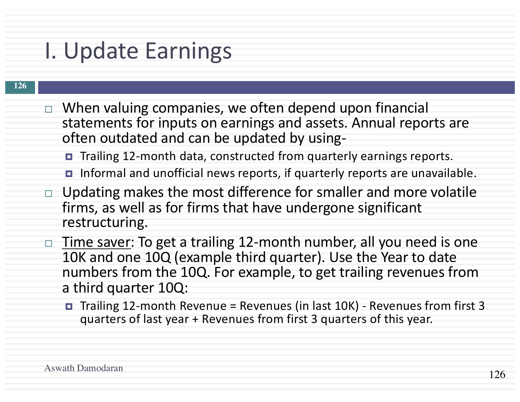## I. Update Earnings

- $\Box$  When valuing companies, we often depend upon financial statements for inputs on earnings and assets. Annual reports are often outdated and can be updated by using-
	- Trailing 12-month data, constructed from quarterly earnings reports.
	- Informal and unofficial news reports, if quarterly reports are unavailable.
- Updating makes the most difference for smaller and more volatile firms, as well as for firms that have undergone significant restructuring.
- □ Time saver: To get a trailing 12-month number, all you need is one 10K and one 10Q (example third quarter). Use the Year to date numbers from the 10Q. For example, to get trailing revenues from a third quarter 10Q:
	- ¤ Trailing 12-month Revenue = Revenues (in last 10K) Revenues from first 3 quarters of last year + Revenues from first 3 quarters of this year.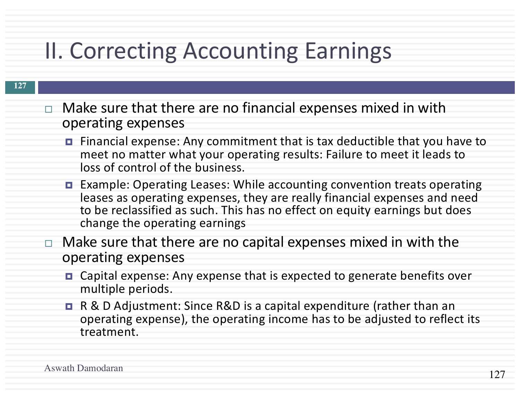## II. Correcting Accounting Earnings

- $\Box$  Make sure that there are no financial expenses mixed in with operating expenses
	- ¤ Financial expense: Any commitment that is tax deductible that you have to meet no matter what your operating results: Failure to meet it leads to loss of control of the business.
	- ¤ Example: Operating Leases: While accounting convention treats operating leases as operating expenses, they are really financial expenses and need to be reclassified as such. This has no effect on equity earnings but does change the operating earnings
- $\Box$  Make sure that there are no capital expenses mixed in with the operating expenses
	- Capital expense: Any expense that is expected to generate benefits over multiple periods.
	- R & D Adjustment: Since R&D is a capital expenditure (rather than an operating expense), the operating income has to be adjusted to reflect its treatment.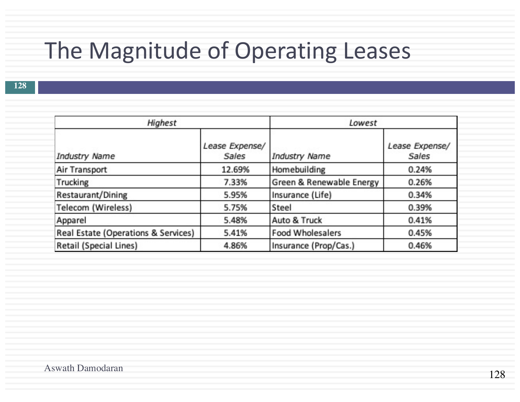## The Magnitude of Operating Leases

| Highest                             |                         | Lowest                   |                         |  |
|-------------------------------------|-------------------------|--------------------------|-------------------------|--|
| Industry Name                       | Lease Expense/<br>Sales | Industry Name            | Lease Expense/<br>Sales |  |
| Air Transport                       | 12.69%                  | Homebuilding             | 0.24%                   |  |
| Trucking                            | 7.33%                   | Green & Renewable Energy | 0.26%                   |  |
| Restaurant/Dining                   | 5.95%                   | Insurance (Life)         | 0.34%                   |  |
| Telecom (Wireless)                  | 5.75%                   | Steel                    | 0.39%                   |  |
| Apparel                             | 5.48%                   | Auto & Truck             | 0.41%                   |  |
| Real Estate (Operations & Services) | 5.41%                   | <b>Food Wholesalers</b>  | 0.45%                   |  |
| Retail (Special Lines)              | 4.86%                   | Insurance (Prop/Cas.)    | 0.46%                   |  |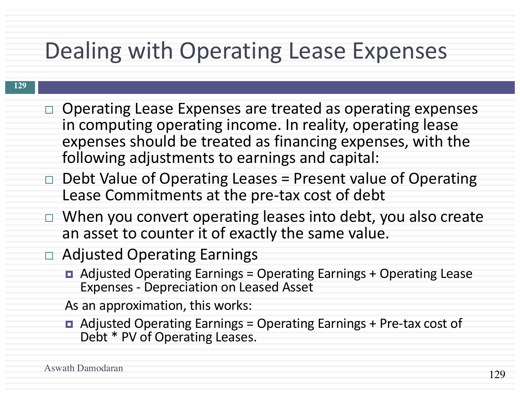## Dealing with Operating Lease Expenses

#### **129**

- $\Box$  Operating Lease Expenses are treated as operating expenses in computing operating income. In reality, operating lease expenses should be treated as financing expenses, with the following adjustments to earnings and capital:
- $\Box$  Debt Value of Operating Leases = Present value of Operating Lease Commitments at the pre-tax cost of debt
- $\Box$  When you convert operating leases into debt, you also create an asset to counter it of exactly the same value.
- $\Box$  Adjusted Operating Earnings
	- ¤ Adjusted Operating Earnings = Operating Earnings + Operating Lease Expenses - Depreciation on Leased Asset

As an approximation, this works:

¤ Adjusted Operating Earnings = Operating Earnings + Pre-tax cost of Debt \* PV of Operating Leases.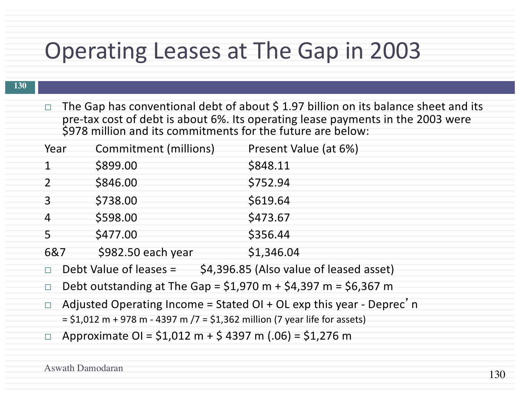## Operating Leases at The Gap in 2003

 $\Box$  The Gap has conventional debt of about \$ 1.97 billion on its balance sheet and its pre-tax cost of debt is about 6%. Its operating lease payments in the 2003 were \$978 million and its commitments for the future are below:

| Year                     | Commitment (millions) | Present Value (at 6%) |
|--------------------------|-----------------------|-----------------------|
|                          | \$899.00              | \$848.11              |
| $\overline{\phantom{a}}$ | \$846.00              | \$752.94              |
| $\mathcal{E}$            | \$738.00              | \$619.64              |
| $\overline{4}$           | \$598.00              | \$473.67              |
| 5                        | \$477.00              | \$356.44              |
| 6&7                      | \$982.50 each year    | \$1,346.04            |

- $\Box$  Debt Value of leases =  $\Diamond$ 4,396.85 (Also value of leased asset)
- $\Box$  Debt outstanding at The Gap = \$1,970 m + \$4,397 m = \$6,367 m
- □ Adjusted Operating Income = Stated OI + OL exp this year Deprec'n  $=$  \$1,012 m + 978 m - 4397 m /7 = \$1,362 million (7 year life for assets)
- □ Approximate OI =  $$1,012$  m +  $$4397$  m (.06) =  $$1,276$  m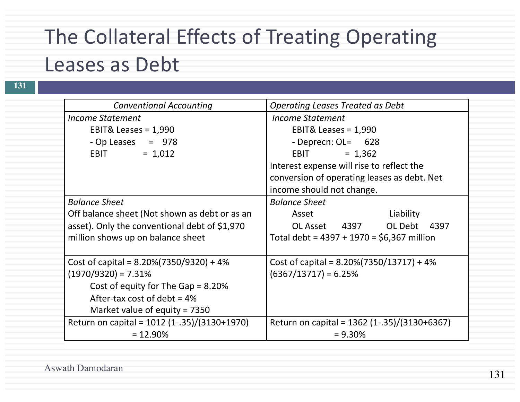## The Collateral Effects of Treating Operating Leases as Debt

| <b>Conventional Accounting</b>                | <b>Operating Leases Treated as Debt</b>      |  |  |
|-----------------------------------------------|----------------------------------------------|--|--|
| <b>Income Statement</b>                       | Income Statement                             |  |  |
| EBIT& Leases = $1,990$                        | EBIT& Leases = $1,990$                       |  |  |
| - Op Leases $= 978$                           | - Deprecn: OL= 628                           |  |  |
| $= 1,012$<br><b>EBIT</b>                      | <b>EBIT</b><br>$= 1,362$                     |  |  |
|                                               | Interest expense will rise to reflect the    |  |  |
|                                               | conversion of operating leases as debt. Net  |  |  |
|                                               | income should not change.                    |  |  |
| <b>Balance Sheet</b>                          | <b>Balance Sheet</b>                         |  |  |
| Off balance sheet (Not shown as debt or as an | Asset<br>Liability                           |  |  |
| asset). Only the conventional debt of \$1,970 | OL Asset 4397 OL Debt 4397                   |  |  |
| million shows up on balance sheet             | Total debt = $4397 + 1970 = $6,367$ million  |  |  |
| Cost of capital = $8.20\%(7350/9320) + 4\%$   | Cost of capital = $8.20\%(7350/13717) + 4\%$ |  |  |
| $(1970/9320) = 7.31%$                         | $(6367/13717) = 6.25%$                       |  |  |
| Cost of equity for The Gap = $8.20\%$         |                                              |  |  |
| After-tax cost of debt = $4\%$                |                                              |  |  |
| Market value of equity = $7350$               |                                              |  |  |
| Return on capital = 1012 (1-.35)/(3130+1970)  | Return on capital = 1362 (1-.35)/(3130+6367) |  |  |
| $= 12.90\%$                                   | $= 9.30\%$                                   |  |  |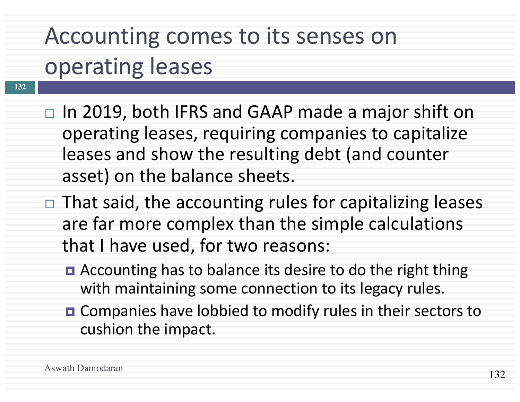# Accounting comes to its senses on operating leases

- $\Box$  In 2019, both IFRS and GAAP made a major shift on operating leases, requiring companies to capitalize leases and show the resulting debt (and counter asset) on the balance sheets.
- $\Box$  That said, the accounting rules for capitalizing leases are far more complex than the simple calculations that I have used, for two reasons:
	- Accounting has to balance its desire to do the right thing with maintaining some connection to its legacy rules.
	- Companies have lobbied to modify rules in their sectors to cushion the impact.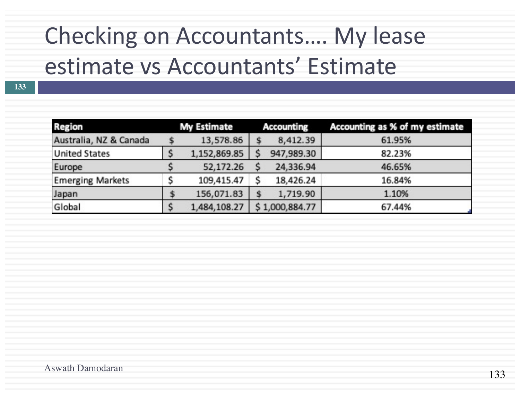# Checking on Accountants.... My lease estimate vs Accountants' Estimate

| <b>Region</b>           |  | <b>My Estimate</b> |  | <b>Accounting</b> | Accounting as % of my estimate |  |
|-------------------------|--|--------------------|--|-------------------|--------------------------------|--|
| Australia, NZ & Canada  |  | 13,578.86          |  | 8,412.39          | 61.95%                         |  |
| <b>United States</b>    |  | 1,152,869.85       |  | 947,989.30        | 82.23%                         |  |
| Europe                  |  | 52,172.26          |  | 24,336.94         | 46.65%                         |  |
| <b>Emerging Markets</b> |  | 109,415.47         |  | 18,426.24         | 16.84%                         |  |
| Japan                   |  | 156,071.83         |  | 1,719.90          | 1.10%                          |  |
| Global                  |  | 1,484,108.27       |  | \$1,000,884.77    | 67.44%                         |  |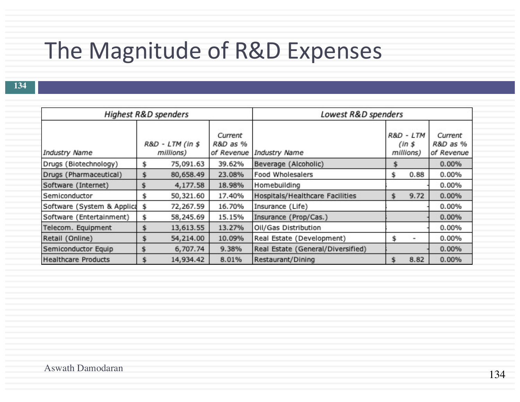## The Magnitude of R&D Expenses

| Highest R&D spenders       |    |                               | Lowest R&D spenders                          |                                   |     |                                  |                                   |
|----------------------------|----|-------------------------------|----------------------------------------------|-----------------------------------|-----|----------------------------------|-----------------------------------|
| Industry Name              |    | R&D - LTM (in \$<br>millions) | Current<br><b>R&amp;D</b> as %<br>of Revenue | Industry Name                     |     | R&D - LTM<br>(ln s)<br>millions) | Current<br>R&D as %<br>of Revenue |
| Drugs (Biotechnology)      | s  | 75,091.63                     | 39.62%                                       | Beverage (Alcoholic)              |     |                                  | 0.00%                             |
| Drugs (Pharmaceutical)     | \$ | 80,658.49                     | 23.08%                                       | <b>Food Wholesalers</b>           | \$. | 0.88                             | 0.00%                             |
| Software (Internet)        |    | 4,177.58                      | 18.98%                                       | Homebuilding                      |     |                                  | 0.00%                             |
| Semiconductor              | S  | 50,321.60                     | 17.40%                                       | Hospitals/Healthcare Facilities   |     | 9.72                             | 0.00%                             |
| Software (System & Applica | \$ | 72,267.59                     | 16.70%                                       | Insurance (Life)                  |     |                                  | 0.00%                             |
| Software (Entertainment)   | \$ | 58,245.69                     | 15.15%                                       | Insurance (Prop/Cas.)             |     |                                  | 0.00%                             |
| Telecom. Equipment         |    | 13,613.55                     | 13.27%                                       | Oil/Gas Distribution              |     |                                  | 0.00%                             |
| Retail (Online)            | s  | 54,214.00                     | 10.09%                                       | Real Estate (Development)         |     | -                                | 0.00%                             |
| Semiconductor Equip        |    | 6,707.74                      | 9.38%                                        | Real Estate (General/Diversified) |     |                                  | 0.00%                             |
| <b>Healthcare Products</b> |    | 14,934.42                     | 8.01%                                        | Restaurant/Dining                 |     | 8.82                             | 0.00%                             |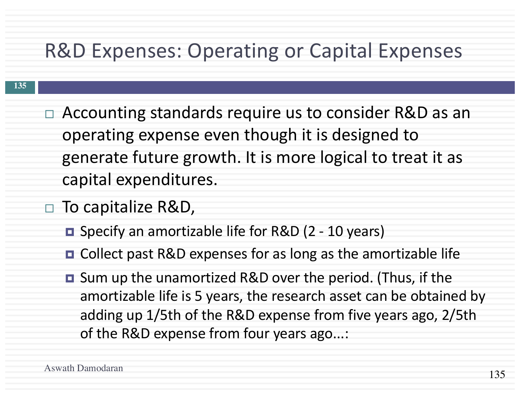### R&D Expenses: Operating or Capital Expenses

- $\Box$  Accounting standards require us to consider R&D as an operating expense even though it is designed to generate future growth. It is more logical to treat it as capital expenditures.
- $\Box$  To capitalize R&D,
	- Specify an amortizable life for R&D (2 10 years)
	- Collect past R&D expenses for as long as the amortizable life
	- Sum up the unamortized R&D over the period. (Thus, if the amortizable life is 5 years, the research asset can be obtained by adding up 1/5th of the R&D expense from five years ago, 2/5th of the R&D expense from four years ago...: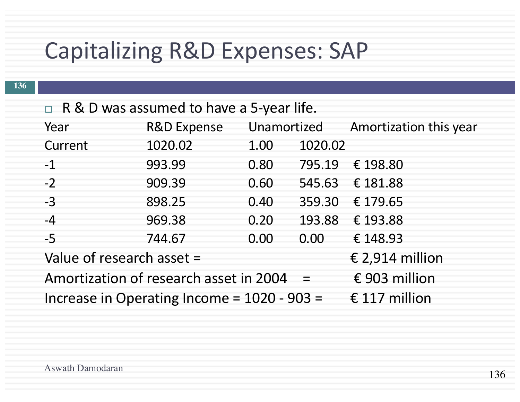## Capitalizing R&D Expenses: SAP

| $\Box$ R & D was assumed to have a 5-year life. |  |  |
|-------------------------------------------------|--|--|
|-------------------------------------------------|--|--|

| Year                                                           | <b>R&amp;D Expense</b> |      | Unamortized | Amortization this year |
|----------------------------------------------------------------|------------------------|------|-------------|------------------------|
| Current                                                        | 1020.02                | 1.00 | 1020.02     |                        |
| $-1$                                                           | 993.99                 | 0.80 |             | 795.19 € 198.80        |
| $-2$                                                           | 909.39                 | 0.60 |             | 545.63 € 181.88        |
| $-3$                                                           | 898.25                 | 0.40 | 359.30      | € 179.65               |
| $-4$                                                           | 969.38                 | 0.20 | 193.88      | € 193.88               |
| $-5$                                                           | 744.67                 | 0.00 | 0.00        | € 148.93               |
| Value of research asset =                                      |                        |      |             | € 2,914 million        |
| Amortization of research asset in 2004                         | € 903 million          |      |             |                        |
| Increase in Operating Income = $1020 - 903 =$<br>€ 117 million |                        |      |             |                        |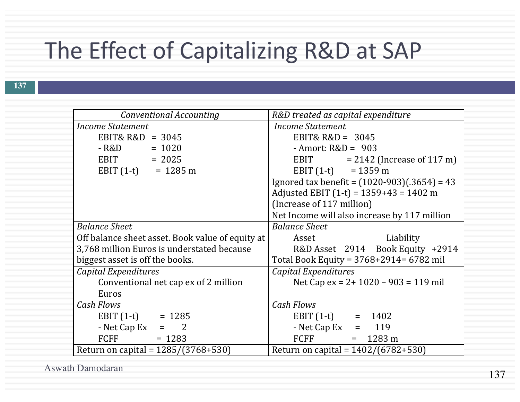## The Effect of Capitalizing R&D at SAP

| Conventional Accounting                          | R&D treated as capital expenditure             |  |  |  |
|--------------------------------------------------|------------------------------------------------|--|--|--|
| Income Statement                                 | Income Statement                               |  |  |  |
| EBIT& $R&D = 3045$                               | EBIT& $R&D = 3045$                             |  |  |  |
| $-R&D = 1020$                                    | - Amort: $R&D = 903$                           |  |  |  |
| $EBIT = 2025$                                    | EBIT<br>$= 2142$ (Increase of 117 m)           |  |  |  |
| EBIT $(1-t) = 1285 \text{ m}$                    | EBIT $(1-t) = 1359 \text{ m}$                  |  |  |  |
|                                                  | Ignored tax benefit = $(1020-903)(.3654) = 43$ |  |  |  |
|                                                  | Adjusted EBIT $(1-t) = 1359+43 = 1402$ m       |  |  |  |
|                                                  | (Increase of 117 million)                      |  |  |  |
|                                                  | Net Income will also increase by 117 million   |  |  |  |
| <b>Balance Sheet</b>                             | <b>Balance Sheet</b>                           |  |  |  |
| Off balance sheet asset. Book value of equity at | Asset<br>Liability                             |  |  |  |
| 3,768 million Euros is understated because       | R&D Asset 2914 Book Equity +2914               |  |  |  |
| biggest asset is off the books.                  | Total Book Equity = 3768+2914= 6782 mil        |  |  |  |
| Capital Expenditures                             | <b>Capital Expenditures</b>                    |  |  |  |
|                                                  |                                                |  |  |  |
| Conventional net cap ex of 2 million             | Net Cap ex = $2+1020-903 = 119$ mil            |  |  |  |
| Euros                                            |                                                |  |  |  |
| <b>Cash Flows</b>                                | <b>Cash Flows</b>                              |  |  |  |
| EBIT $(1-t)$ = 1285                              | EBIT $(1-t) = 1402$                            |  |  |  |
| - Net Cap Ex $=$ 2                               | - Net Cap Ex $= 119$                           |  |  |  |
| FCFF<br>$= 1283$                                 | <b>FCFF</b><br>$= 1283 \text{ m}$              |  |  |  |

Aswath Damodaran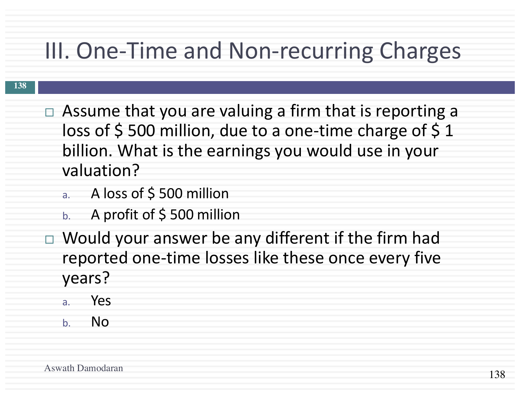## III. One-Time and Non-recurring Charges

- $\Box$  Assume that you are valuing a firm that is reporting a loss of  $\frac{1}{5}$  500 million, due to a one-time charge of  $\frac{1}{5}$  1 billion. What is the earnings you would use in your valuation?
	- a. A loss of \$ 500 million
	- b. A profit of  $\frac{1}{2}$  500 million
- $\Box$  Would your answer be any different if the firm had reported one-time losses like these once every five years?
	- a. Yes
	- b. No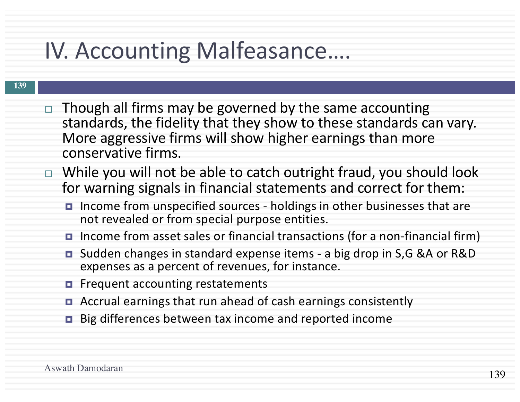## IV. Accounting Malfeasance….

- $\Box$  Though all firms may be governed by the same accounting standards, the fidelity that they show to these standards can vary. More aggressive firms will show higher earnings than more conservative firms.
- $\Box$  While you will not be able to catch outright fraud, you should look for warning signals in financial statements and correct for them:
	- Income from unspecified sources holdings in other businesses that are not revealed or from special purpose entities.
	- Income from asset sales or financial transactions (for a non-financial firm)
	- Sudden changes in standard expense items a big drop in S,G &A or R&D expenses as a percent of revenues, for instance.
	- *E* Frequent accounting restatements
	- Accrual earnings that run ahead of cash earnings consistently
	- ¤ Big differences between tax income and reported income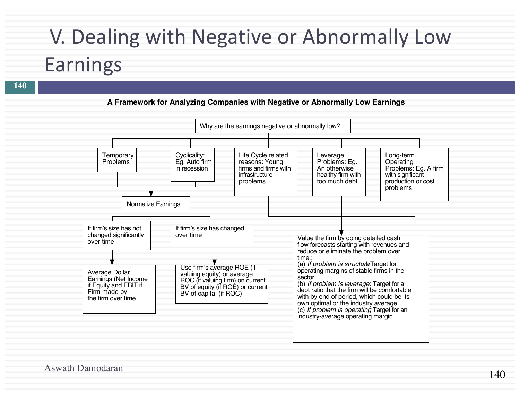# V. Dealing with Negative or Abnormally Low Earnings

#### **A Framework for Analyzing Companies with Negative or Abnormally Low Earnings**



Aswath Damodaran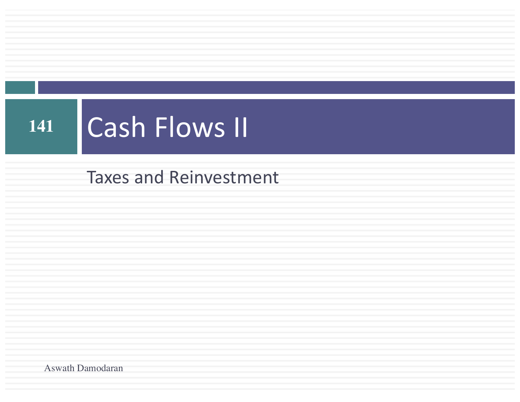### **Cash Flows II**  $\boxed{141}$

**Taxes and Reinvestment** 

Aswath Damodaran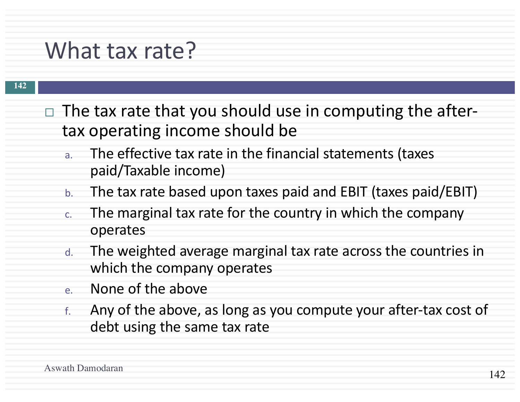## What tax rate?

- $\Box$  The tax rate that you should use in computing the aftertax operating income should be
	- a. The effective tax rate in the financial statements (taxes paid/Taxable income)
	- b. The tax rate based upon taxes paid and EBIT (taxes paid/EBIT)
	- c. The marginal tax rate for the country in which the company operates
	- d. The weighted average marginal tax rate across the countries in which the company operates
	- e. None of the above
	- f. Any of the above, as long as you compute your after-tax cost of debt using the same tax rate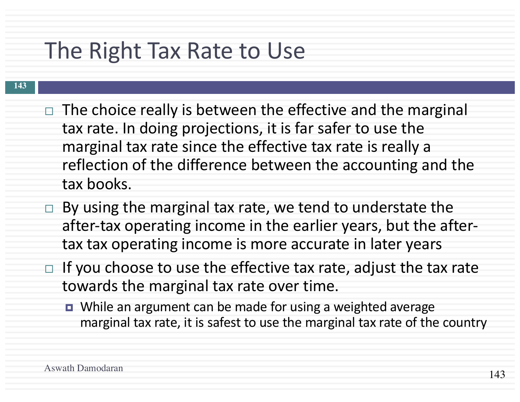## The Right Tax Rate to Use

- $\Box$  The choice really is between the effective and the marginal tax rate. In doing projections, it is far safer to use the marginal tax rate since the effective tax rate is really a reflection of the difference between the accounting and the tax books.
- $\Box$  By using the marginal tax rate, we tend to understate the after-tax operating income in the earlier years, but the aftertax tax operating income is more accurate in later years
- $\Box$  If you choose to use the effective tax rate, adjust the tax rate towards the marginal tax rate over time.
	- While an argument can be made for using a weighted average marginal tax rate, it is safest to use the marginal tax rate of the country